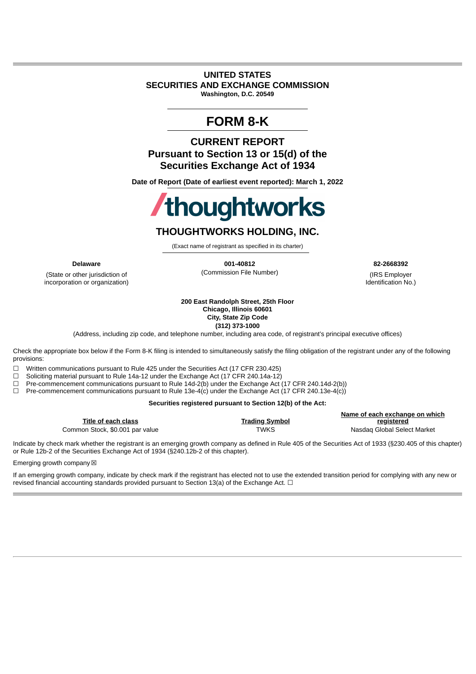#### **UNITED STATES SECURITIES AND EXCHANGE COMMISSION Washington, D.C. 20549**

## **FORM 8-K**

**CURRENT REPORT Pursuant to Section 13 or 15(d) of the Securities Exchange Act of 1934**

**Date of Report (Date of earliest event reported): March 1, 2022**

# **/thoughtworks**

### **THOUGHTWORKS HOLDING, INC.**

(Exact name of registrant as specified in its charter)

(State or other jurisdiction of incorporation or organization)

**Delaware 001-40812 82-2668392**

(Commission File Number) (IRS Employer Identification No.)

**200 East Randolph Street, 25th Floor Chicago, Illinois 60601 City, State Zip Code**

**(312) 373-1000**

(Address, including zip code, and telephone number, including area code, of registrant's principal executive offices)

Check the appropriate box below if the Form 8-K filing is intended to simultaneously satisfy the filing obligation of the registrant under any of the following provisions:

☐ Written communications pursuant to Rule 425 under the Securities Act (17 CFR 230.425)

☐ Soliciting material pursuant to Rule 14a-12 under the Exchange Act (17 CFR 240.14a-12)

☐ Pre-commencement communications pursuant to Rule 14d-2(b) under the Exchange Act (17 CFR 240.14d-2(b))

☐ Pre-commencement communications pursuant to Rule 13e-4(c) under the Exchange Act (17 CFR 240.13e-4(c))

#### **Securities registered pursuant to Section 12(b) of the Act:**

|                                 |                       | Name of each exchange on which |
|---------------------------------|-----------------------|--------------------------------|
| Title of each class             | <b>Trading Symbol</b> | registered                     |
| Common Stock, \$0.001 par value | TWKS                  | Nasdag Global Select Market    |

Indicate by check mark whether the registrant is an emerging growth company as defined in Rule 405 of the Securities Act of 1933 (§230.405 of this chapter) or Rule 12b-2 of the Securities Exchange Act of 1934 (§240.12b-2 of this chapter).

Emerging growth company  $boxtimes$ 

If an emerging growth company, indicate by check mark if the registrant has elected not to use the extended transition period for complying with any new or revised financial accounting standards provided pursuant to Section 13(a) of the Exchange Act.  $\Box$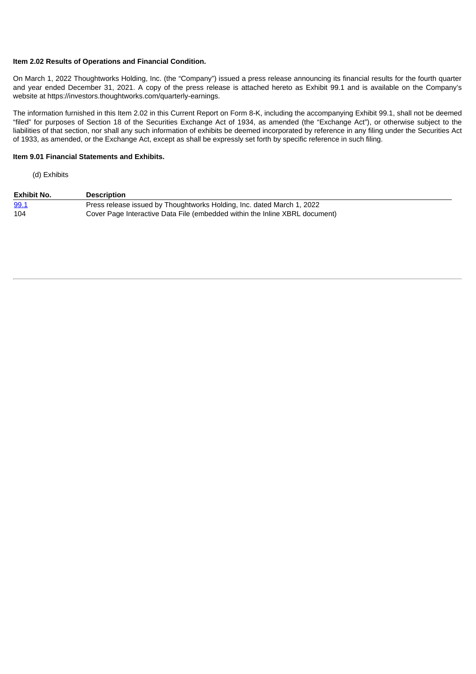#### **Item 2.02 Results of Operations and Financial Condition.**

On March 1, 2022 Thoughtworks Holding, Inc. (the "Company") issued a press release announcing its financial results for the fourth quarter and year ended December 31, 2021. A copy of the press release is attached hereto as Exhibit 99.1 and is available on the Company's website at https://investors.thoughtworks.com/quarterly-earnings.

The information furnished in this Item 2.02 in this Current Report on Form 8-K, including the accompanying Exhibit 99.1, shall not be deemed "filed" for purposes of Section 18 of the Securities Exchange Act of 1934, as amended (the "Exchange Act"), or otherwise subject to the liabilities of that section, nor shall any such information of exhibits be deemed incorporated by reference in any filing under the Securities Act of 1933, as amended, or the Exchange Act, except as shall be expressly set forth by specific reference in such filing.

#### **Item 9.01 Financial Statements and Exhibits.**

(d) Exhibits

| <b>Exhibit No.</b> | <b>Description</b>                                                          |
|--------------------|-----------------------------------------------------------------------------|
| 99.1               | Press release issued by Thoughtworks Holding, Inc. dated March 1, 2022      |
| 104                | Cover Page Interactive Data File (embedded within the Inline XBRL document) |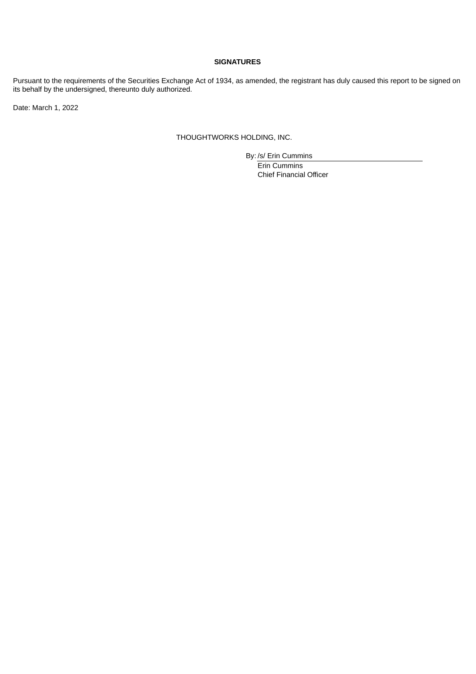#### **SIGNATURES**

Pursuant to the requirements of the Securities Exchange Act of 1934, as amended, the registrant has duly caused this report to be signed on its behalf by the undersigned, thereunto duly authorized.

Date: March 1, 2022

THOUGHTWORKS HOLDING, INC.

By: /s/ Erin Cummins Erin Cummins Chief Financial Officer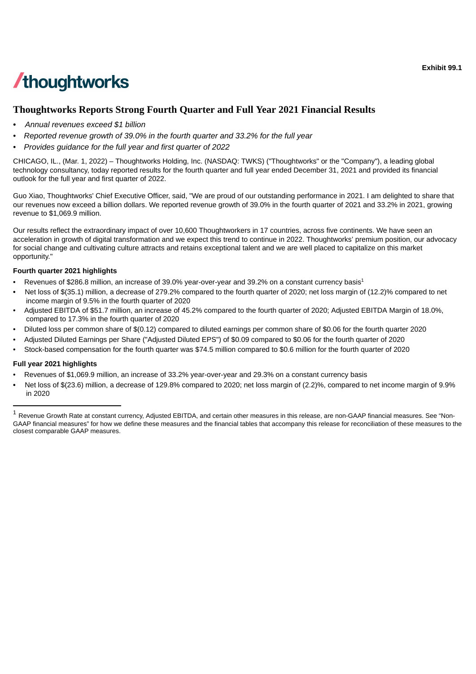# <span id="page-3-0"></span>**/thoughtworks**

#### **Thoughtworks Reports Strong Fourth Quarter and Full Year 2021 Financial Results**

- *• Annual revenues exceed \$1 billion*
- *• Reported revenue growth of 39.0% in the fourth quarter and 33.2% for the full year*
- *• Provides guidance for the full year and first quarter of 2022*

CHICAGO, IL., (Mar. 1, 2022) – Thoughtworks Holding, Inc. (NASDAQ: TWKS) ("Thoughtworks" or the "Company"), a leading global technology consultancy, today reported results for the fourth quarter and full year ended December 31, 2021 and provided its financial outlook for the full year and first quarter of 2022.

Guo Xiao, Thoughtworks' Chief Executive Officer, said, "We are proud of our outstanding performance in 2021. I am delighted to share that our revenues now exceed a billion dollars. We reported revenue growth of 39.0% in the fourth quarter of 2021 and 33.2% in 2021, growing revenue to \$1,069.9 million.

Our results reflect the extraordinary impact of over 10,600 Thoughtworkers in 17 countries, across five continents. We have seen an acceleration in growth of digital transformation and we expect this trend to continue in 2022. Thoughtworks' premium position, our advocacy for social change and cultivating culture attracts and retains exceptional talent and we are well placed to capitalize on this market opportunity."

#### **Fourth quarter 2021 highlights**

- Revenues of \$286.8 million, an increase of 39.0% year-over-year and 39.2% on a constant currency basis<sup>1</sup>
- **•** Net loss of \$(35.1) million, a decrease of 279.2% compared to the fourth quarter of 2020; net loss margin of (12.2)% compared to net income margin of 9.5% in the fourth quarter of 2020
- Adjusted EBITDA of \$51.7 million, an increase of 45.2% compared to the fourth quarter of 2020; Adjusted EBITDA Margin of 18.0%, compared to 17.3% in the fourth quarter of 2020
- Diluted loss per common share of \$(0.12) compared to diluted earnings per common share of \$0.06 for the fourth quarter 2020
- Adjusted Diluted Earnings per Share ("Adjusted Diluted EPS") of \$0.09 compared to \$0.06 for the fourth quarter of 2020
- Stock-based compensation for the fourth quarter was \$74.5 million compared to \$0.6 million for the fourth quarter of 2020

#### **Full year 2021 highlights**

- Revenues of \$1,069.9 million, an increase of 33.2% year-over-year and 29.3% on a constant currency basis
- **•** Net loss of \$(23.6) million, a decrease of 129.8% compared to 2020; net loss margin of (2.2)%, compared to net income margin of 9.9% in 2020

 $^{\rm 1}$  Revenue Growth Rate at constant currency, Adjusted EBITDA, and certain other measures in this release, are non-GAAP financial measures. See "Non-GAAP financial measures" for how we define these measures and the financial tables that accompany this release for reconciliation of these measures to the closest comparable GAAP measures.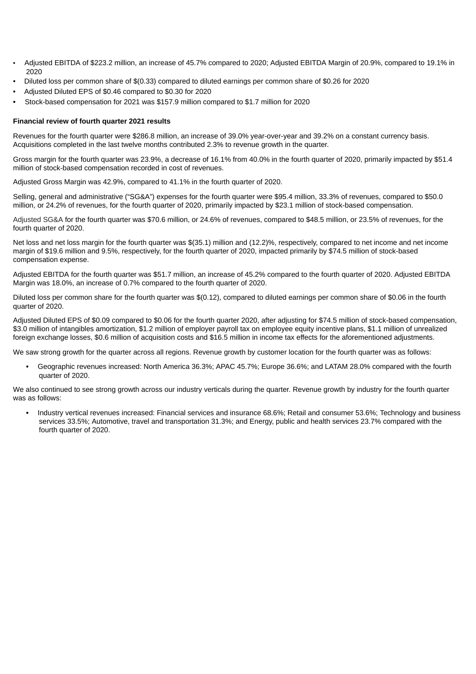- Adjusted EBITDA of \$223.2 million, an increase of 45.7% compared to 2020; Adjusted EBITDA Margin of 20.9%, compared to 19.1% in 2020
- Diluted loss per common share of \$(0.33) compared to diluted earnings per common share of \$0.26 for 2020
- Adjusted Diluted EPS of \$0.46 compared to \$0.30 for 2020
- **•** Stock-based compensation for 2021 was \$157.9 million compared to \$1.7 million for 2020

#### **Financial review of fourth quarter 2021 results**

Revenues for the fourth quarter were \$286.8 million, an increase of 39.0% year-over-year and 39.2% on a constant currency basis. Acquisitions completed in the last twelve months contributed 2.3% to revenue growth in the quarter.

Gross margin for the fourth quarter was 23.9%, a decrease of 16.1% from 40.0% in the fourth quarter of 2020, primarily impacted by \$51.4 million of stock-based compensation recorded in cost of revenues.

Adjusted Gross Margin was 42.9%, compared to 41.1% in the fourth quarter of 2020.

Selling, general and administrative ("SG&A") expenses for the fourth quarter were \$95.4 million, 33.3% of revenues, compared to \$50.0 million, or 24.2% of revenues, for the fourth quarter of 2020, primarily impacted by \$23.1 million of stock-based compensation.

Adjusted SG&A for the fourth quarter was \$70.6 million, or 24.6% of revenues, compared to \$48.5 million, or 23.5% of revenues, for the fourth quarter of 2020.

Net loss and net loss margin for the fourth quarter was \$(35.1) million and (12.2)%, respectively, compared to net income and net income margin of \$19.6 million and 9.5%, respectively, for the fourth quarter of 2020, impacted primarily by \$74.5 million of stock-based compensation expense.

Adjusted EBITDA for the fourth quarter was \$51.7 million, an increase of 45.2% compared to the fourth quarter of 2020. Adjusted EBITDA Margin was 18.0%, an increase of 0.7% compared to the fourth quarter of 2020.

Diluted loss per common share for the fourth quarter was \$(0.12), compared to diluted earnings per common share of \$0.06 in the fourth quarter of 2020.

Adjusted Diluted EPS of \$0.09 compared to \$0.06 for the fourth quarter 2020, after adjusting for \$74.5 million of stock-based compensation, \$3.0 million of intangibles amortization, \$1.2 million of employer payroll tax on employee equity incentive plans, \$1.1 million of unrealized foreign exchange losses, \$0.6 million of acquisition costs and \$16.5 million in income tax effects for the aforementioned adjustments.

We saw strong growth for the quarter across all regions. Revenue growth by customer location for the fourth quarter was as follows:

**•** Geographic revenues increased: North America 36.3%; APAC 45.7%; Europe 36.6%; and LATAM 28.0% compared with the fourth quarter of 2020.

We also continued to see strong growth across our industry verticals during the quarter. Revenue growth by industry for the fourth quarter was as follows:

**•** Industry vertical revenues increased: Financial services and insurance 68.6%; Retail and consumer 53.6%; Technology and business services 33.5%; Automotive, travel and transportation 31.3%; and Energy, public and health services 23.7% compared with the fourth quarter of 2020.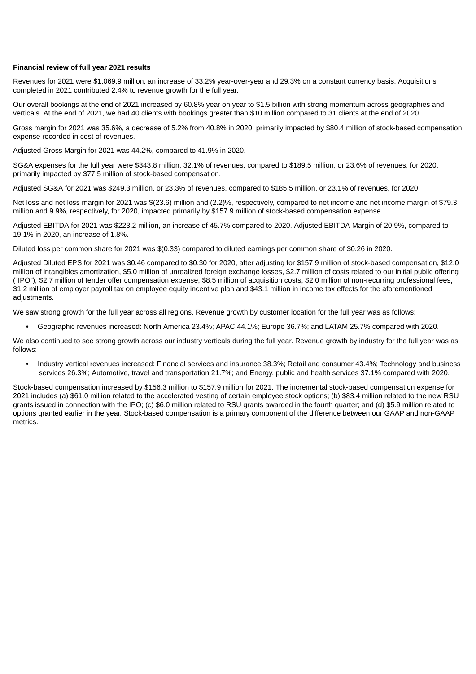#### **Financial review of full year 2021 results**

Revenues for 2021 were \$1,069.9 million, an increase of 33.2% year-over-year and 29.3% on a constant currency basis. Acquisitions completed in 2021 contributed 2.4% to revenue growth for the full year.

Our overall bookings at the end of 2021 increased by 60.8% year on year to \$1.5 billion with strong momentum across geographies and verticals. At the end of 2021, we had 40 clients with bookings greater than \$10 million compared to 31 clients at the end of 2020.

Gross margin for 2021 was 35.6%, a decrease of 5.2% from 40.8% in 2020, primarily impacted by \$80.4 million of stock-based compensation expense recorded in cost of revenues.

Adjusted Gross Margin for 2021 was 44.2%, compared to 41.9% in 2020.

SG&A expenses for the full year were \$343.8 million, 32.1% of revenues, compared to \$189.5 million, or 23.6% of revenues, for 2020, primarily impacted by \$77.5 million of stock-based compensation.

Adjusted SG&A for 2021 was \$249.3 million, or 23.3% of revenues, compared to \$185.5 million, or 23.1% of revenues, for 2020.

Net loss and net loss margin for 2021 was \$(23.6) million and (2.2)%, respectively, compared to net income and net income margin of \$79.3 million and 9.9%, respectively, for 2020, impacted primarily by \$157.9 million of stock-based compensation expense.

Adjusted EBITDA for 2021 was \$223.2 million, an increase of 45.7% compared to 2020. Adjusted EBITDA Margin of 20.9%, compared to 19.1% in 2020, an increase of 1.8%.

Diluted loss per common share for 2021 was \$(0.33) compared to diluted earnings per common share of \$0.26 in 2020.

Adjusted Diluted EPS for 2021 was \$0.46 compared to \$0.30 for 2020, after adjusting for \$157.9 million of stock-based compensation, \$12.0 million of intangibles amortization, \$5.0 million of unrealized foreign exchange losses, \$2.7 million of costs related to our initial public offering ("IPO"), \$2.7 million of tender offer compensation expense, \$8.5 million of acquisition costs, \$2.0 million of non-recurring professional fees, \$1.2 million of employer payroll tax on employee equity incentive plan and \$43.1 million in income tax effects for the aforementioned adiustments.

We saw strong growth for the full year across all regions. Revenue growth by customer location for the full year was as follows:

**•** Geographic revenues increased: North America 23.4%; APAC 44.1%; Europe 36.7%; and LATAM 25.7% compared with 2020.

We also continued to see strong growth across our industry verticals during the full year. Revenue growth by industry for the full year was as follows:

**•** Industry vertical revenues increased: Financial services and insurance 38.3%; Retail and consumer 43.4%; Technology and business services 26.3%; Automotive, travel and transportation 21.7%; and Energy, public and health services 37.1% compared with 2020.

Stock-based compensation increased by \$156.3 million to \$157.9 million for 2021. The incremental stock-based compensation expense for 2021 includes (a) \$61.0 million related to the accelerated vesting of certain employee stock options; (b) \$83.4 million related to the new RSU grants issued in connection with the IPO; (c) \$6.0 million related to RSU grants awarded in the fourth quarter; and (d) \$5.9 million related to options granted earlier in the year. Stock-based compensation is a primary component of the difference between our GAAP and non-GAAP metrics.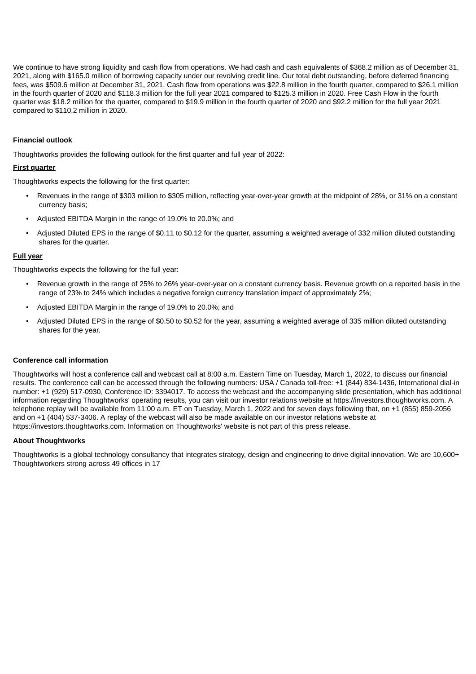We continue to have strong liquidity and cash flow from operations. We had cash and cash equivalents of \$368.2 million as of December 31, 2021, along with \$165.0 million of borrowing capacity under our revolving credit line. Our total debt outstanding, before deferred financing fees, was \$509.6 million at December 31, 2021. Cash flow from operations was \$22.8 million in the fourth quarter, compared to \$26.1 million in the fourth quarter of 2020 and \$118.3 million for the full year 2021 compared to \$125.3 million in 2020. Free Cash Flow in the fourth quarter was \$18.2 million for the quarter, compared to \$19.9 million in the fourth quarter of 2020 and \$92.2 million for the full year 2021 compared to \$110.2 million in 2020.

#### **Financial outlook**

Thoughtworks provides the following outlook for the first quarter and full year of 2022:

#### **First quarter**

Thoughtworks expects the following for the first quarter:

- Revenues in the range of \$303 million to \$305 million, reflecting year-over-year growth at the midpoint of 28%, or 31% on a constant currency basis;
- Adjusted EBITDA Margin in the range of 19.0% to 20.0%; and
- Adjusted Diluted EPS in the range of \$0.11 to \$0.12 for the quarter, assuming a weighted average of 332 million diluted outstanding shares for the quarter.

#### **Full year**

Thoughtworks expects the following for the full year:

- Revenue growth in the range of 25% to 26% year-over-year on a constant currency basis. Revenue growth on a reported basis in the range of 23% to 24% which includes a negative foreign currency translation impact of approximately 2%;
- Adjusted EBITDA Margin in the range of 19.0% to 20.0%; and
- Adjusted Diluted EPS in the range of \$0.50 to \$0.52 for the year, assuming a weighted average of 335 million diluted outstanding shares for the year.

#### **Conference call information**

Thoughtworks will host a conference call and webcast call at 8:00 a.m. Eastern Time on Tuesday, March 1, 2022, to discuss our financial results. The conference call can be accessed through the following numbers: USA / Canada toll-free: +1 (844) 834-1436, International dial-in number: +1 (929) 517-0930, Conference ID: 3394017. To access the webcast and the accompanying slide presentation, which has additional information regarding Thoughtworks' operating results, you can visit our investor relations website at https://investors.thoughtworks.com. A telephone replay will be available from 11:00 a.m. ET on Tuesday, March 1, 2022 and for seven days following that, on +1 (855) 859-2056 and on +1 (404) 537-3406. A replay of the webcast will also be made available on our investor relations website at https://investors.thoughtworks.com. Information on Thoughtworks' website is not part of this press release.

#### **About Thoughtworks**

Thoughtworks is a global technology consultancy that integrates strategy, design and engineering to drive digital innovation. We are 10,600+ Thoughtworkers strong across 49 offices in 17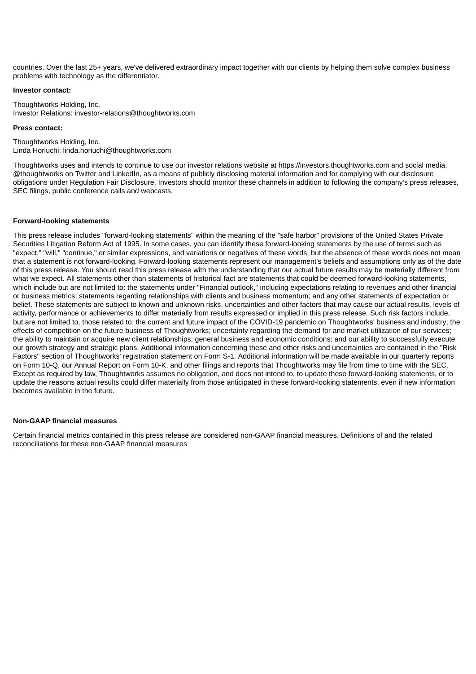countries. Over the last 25+ years, we've delivered extraordinary impact together with our clients by helping them solve complex business problems with technology as the differentiator.

#### **Investor contact:**

Thoughtworks Holding, Inc. Investor Relations: investor-relations@thoughtworks.com

#### **Press contact:**

Thoughtworks Holding, Inc. Linda Horiuchi: linda.horiuchi@thoughtworks.com

Thoughtworks uses and intends to continue to use our investor relations website at https://investors.thoughtworks.com and social media, @thoughtworks on Twitter and LinkedIn, as a means of publicly disclosing material information and for complying with our disclosure obligations under Regulation Fair Disclosure. Investors should monitor these channels in addition to following the company's press releases, SEC filings, public conference calls and webcasts.

#### **Forward-looking statements**

This press release includes "forward-looking statements" within the meaning of the "safe harbor" provisions of the United States Private Securities Litigation Reform Act of 1995. In some cases, you can identify these forward-looking statements by the use of terms such as "expect," "will," "continue," or similar expressions, and variations or negatives of these words, but the absence of these words does not mean that a statement is not forward-looking. Forward-looking statements represent our management's beliefs and assumptions only as of the date of this press release. You should read this press release with the understanding that our actual future results may be materially different from what we expect. All statements other than statements of historical fact are statements that could be deemed forward-looking statements, which include but are not limited to: the statements under "Financial outlook," including expectations relating to revenues and other financial or business metrics; statements regarding relationships with clients and business momentum; and any other statements of expectation or belief. These statements are subject to known and unknown risks, uncertainties and other factors that may cause our actual results, levels of activity, performance or achievements to differ materially from results expressed or implied in this press release. Such risk factors include, but are not limited to, those related to: the current and future impact of the COVID-19 pandemic on Thoughtworks' business and industry; the effects of competition on the future business of Thoughtworks; uncertainty regarding the demand for and market utilization of our services; the ability to maintain or acquire new client relationships; general business and economic conditions; and our ability to successfully execute our growth strategy and strategic plans. Additional information concerning these and other risks and uncertainties are contained in the "Risk Factors" section of Thoughtworks' registration statement on Form S-1. Additional information will be made available in our quarterly reports on Form 10-Q, our Annual Report on Form 10-K, and other filings and reports that Thoughtworks may file from time to time with the SEC. Except as required by law, Thoughtworks assumes no obligation, and does not intend to, to update these forward-looking statements, or to update the reasons actual results could differ materially from those anticipated in these forward-looking statements, even if new information becomes available in the future.

#### **Non-GAAP financial measures**

Certain financial metrics contained in this press release are considered non-GAAP financial measures. Definitions of and the related reconciliations for these non-GAAP financial measures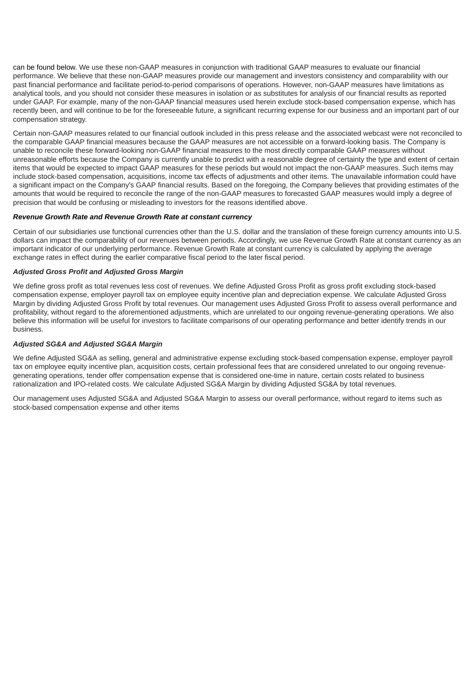can be found below. We use these non-GAAP measures in conjunction with traditional GAAP measures to evaluate our financial performance. We believe that these non-GAAP measures provide our management and investors consistency and comparability with our past financial performance and facilitate period-to-period comparisons of operations. However, non-GAAP measures have limitations as analytical tools, and you should not consider these measures in isolation or as substitutes for analysis of our financial results as reported under GAAP. For example, many of the non-GAAP financial measures used herein exclude stock-based compensation expense, which has recently been, and will continue to be for the foreseeable future, a significant recurring expense for our business and an important part of our compensation strategy.

Certain non-GAAP measures related to our financial outlook included in this press release and the associated webcast were not reconciled to the comparable GAAP financial measures because the GAAP measures are not accessible on a forward-looking basis. The Company is unable to reconcile these forward-looking non-GAAP financial measures to the most directly comparable GAAP measures without unreasonable efforts because the Company is currently unable to predict with a reasonable degree of certainty the type and extent of certain items that would be expected to impact GAAP measures for these periods but would not impact the non-GAAP measures. Such items may include stock-based compensation, acquisitions, income tax effects of adjustments and other items. The unavailable information could have a significant impact on the Company's GAAP financial results. Based on the foregoing, the Company believes that providing estimates of the amounts that would be required to reconcile the range of the non-GAAP measures to forecasted GAAP measures would imply a degree of precision that would be confusing or misleading to investors for the reasons identified above.

#### *Revenue Growth Rate and Revenue Growth Rate at constant currency*

Certain of our subsidiaries use functional currencies other than the U.S. dollar and the translation of these foreign currency amounts into U.S. dollars can impact the comparability of our revenues between periods. Accordingly, we use Revenue Growth Rate at constant currency as an important indicator of our underlying performance. Revenue Growth Rate at constant currency is calculated by applying the average exchange rates in effect during the earlier comparative fiscal period to the later fiscal period.

#### *Adjusted Gross Profit and Adjusted Gross Margin*

We define gross profit as total revenues less cost of revenues. We define Adjusted Gross Profit as gross profit excluding stock-based compensation expense, employer payroll tax on employee equity incentive plan and depreciation expense. We calculate Adjusted Gross Margin by dividing Adjusted Gross Profit by total revenues. Our management uses Adjusted Gross Profit to assess overall performance and profitability, without regard to the aforementioned adjustments, which are unrelated to our ongoing revenue-generating operations. We also believe this information will be useful for investors to facilitate comparisons of our operating performance and better identify trends in our business.

#### *Adjusted SG&A and Adjusted SG&A Margin*

We define Adjusted SG&A as selling, general and administrative expense excluding stock-based compensation expense, employer payroll tax on employee equity incentive plan, acquisition costs, certain professional fees that are considered unrelated to our ongoing revenuegenerating operations, tender offer compensation expense that is considered one-time in nature, certain costs related to business rationalization and IPO-related costs. We calculate Adjusted SG&A Margin by dividing Adjusted SG&A by total revenues.

Our management uses Adjusted SG&A and Adjusted SG&A Margin to assess our overall performance, without regard to items such as stock-based compensation expense and other items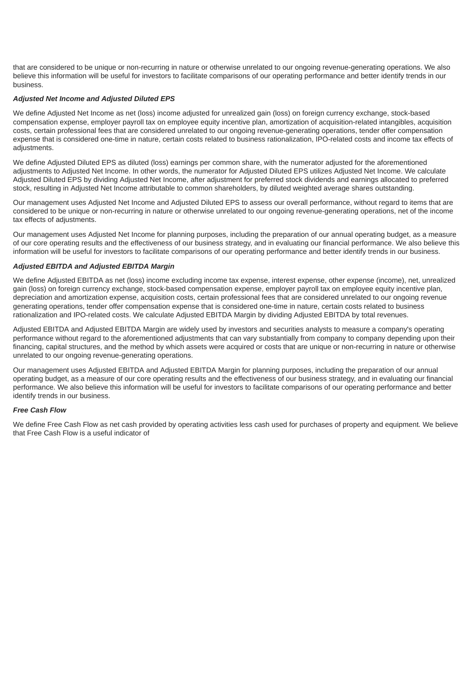that are considered to be unique or non-recurring in nature or otherwise unrelated to our ongoing revenue-generating operations. We also believe this information will be useful for investors to facilitate comparisons of our operating performance and better identify trends in our business.

#### *Adjusted Net Income and Adjusted Diluted EPS*

We define Adjusted Net Income as net (loss) income adjusted for unrealized gain (loss) on foreign currency exchange, stock-based compensation expense, employer payroll tax on employee equity incentive plan, amortization of acquisition-related intangibles, acquisition costs, certain professional fees that are considered unrelated to our ongoing revenue-generating operations, tender offer compensation expense that is considered one-time in nature, certain costs related to business rationalization, IPO-related costs and income tax effects of adiustments.

We define Adjusted Diluted EPS as diluted (loss) earnings per common share, with the numerator adjusted for the aforementioned adjustments to Adjusted Net Income. In other words, the numerator for Adjusted Diluted EPS utilizes Adjusted Net Income. We calculate Adjusted Diluted EPS by dividing Adjusted Net Income, after adjustment for preferred stock dividends and earnings allocated to preferred stock, resulting in Adjusted Net Income attributable to common shareholders, by diluted weighted average shares outstanding.

Our management uses Adjusted Net Income and Adjusted Diluted EPS to assess our overall performance, without regard to items that are considered to be unique or non-recurring in nature or otherwise unrelated to our ongoing revenue-generating operations, net of the income tax effects of adjustments.

Our management uses Adjusted Net Income for planning purposes, including the preparation of our annual operating budget, as a measure of our core operating results and the effectiveness of our business strategy, and in evaluating our financial performance. We also believe this information will be useful for investors to facilitate comparisons of our operating performance and better identify trends in our business.

#### *Adjusted EBITDA and Adjusted EBITDA Margin*

We define Adjusted EBITDA as net (loss) income excluding income tax expense, interest expense, other expense (income), net, unrealized gain (loss) on foreign currency exchange, stock-based compensation expense, employer payroll tax on employee equity incentive plan, depreciation and amortization expense, acquisition costs, certain professional fees that are considered unrelated to our ongoing revenue generating operations, tender offer compensation expense that is considered one-time in nature, certain costs related to business rationalization and IPO-related costs. We calculate Adjusted EBITDA Margin by dividing Adjusted EBITDA by total revenues.

Adjusted EBITDA and Adjusted EBITDA Margin are widely used by investors and securities analysts to measure a company's operating performance without regard to the aforementioned adjustments that can vary substantially from company to company depending upon their financing, capital structures, and the method by which assets were acquired or costs that are unique or non-recurring in nature or otherwise unrelated to our ongoing revenue-generating operations.

Our management uses Adjusted EBITDA and Adjusted EBITDA Margin for planning purposes, including the preparation of our annual operating budget, as a measure of our core operating results and the effectiveness of our business strategy, and in evaluating our financial performance. We also believe this information will be useful for investors to facilitate comparisons of our operating performance and better identify trends in our business.

#### *Free Cash Flow*

We define Free Cash Flow as net cash provided by operating activities less cash used for purchases of property and equipment. We believe that Free Cash Flow is a useful indicator of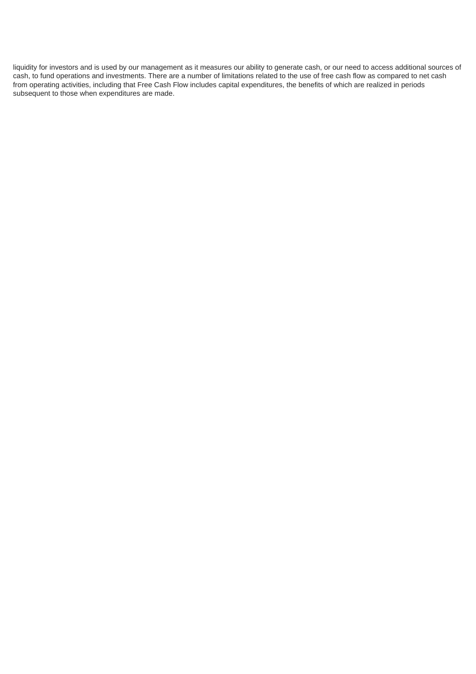liquidity for investors and is used by our management as it measures our ability to generate cash, or our need to access additional sources of cash, to fund operations and investments. There are a number of limitations related to the use of free cash flow as compared to net cash from operating activities, including that Free Cash Flow includes capital expenditures, the benefits of which are realized in periods subsequent to those when expenditures are made.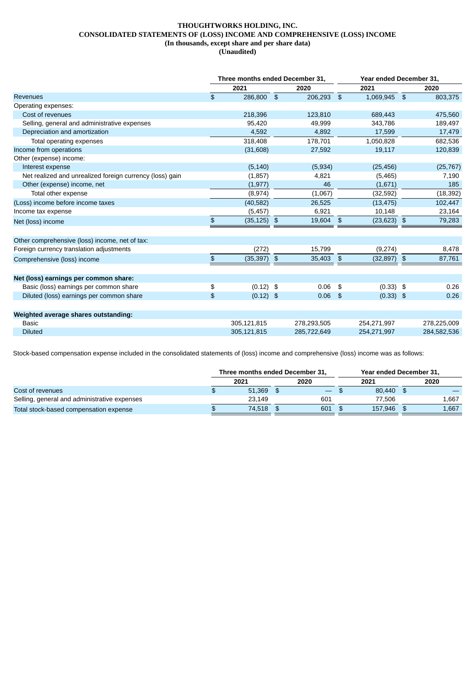#### **THOUGHTWORKS HOLDING, INC. CONSOLIDATED STATEMENTS OF (LOSS) INCOME AND COMPREHENSIVE (LOSS) INCOME (In thousands, except share and per share data) (Unaudited)**

|                                                          | Three months ended December 31, |  |             |                   | Year ended December 31, |             |
|----------------------------------------------------------|---------------------------------|--|-------------|-------------------|-------------------------|-------------|
|                                                          | 2021                            |  | 2020        | 2021              |                         | 2020        |
| Revenues                                                 | \$<br>286,800 \$                |  | 206,293 \$  | 1,069,945         | $\sqrt{3}$              | 803,375     |
| Operating expenses:                                      |                                 |  |             |                   |                         |             |
| Cost of revenues                                         | 218,396                         |  | 123,810     | 689,443           |                         | 475,560     |
| Selling, general and administrative expenses             | 95.420                          |  | 49,999      | 343,786           |                         | 189,497     |
| Depreciation and amortization                            | 4,592                           |  | 4,892       | 17,599            |                         | 17,479      |
| Total operating expenses                                 | 318,408                         |  | 178,701     | 1,050,828         |                         | 682,536     |
| Income from operations                                   | (31,608)                        |  | 27,592      | 19,117            |                         | 120,839     |
| Other (expense) income:                                  |                                 |  |             |                   |                         |             |
| Interest expense                                         | (5, 140)                        |  | (5,934)     | (25, 456)         |                         | (25, 767)   |
| Net realized and unrealized foreign currency (loss) gain | (1,857)                         |  | 4,821       | (5,465)           |                         | 7,190       |
| Other (expense) income, net                              | (1, 977)                        |  | 46          | (1,671)           |                         | 185         |
| Total other expense                                      | (8,974)                         |  | (1,067)     | (32, 592)         |                         | (18, 392)   |
| (Loss) income before income taxes                        | (40, 582)                       |  | 26,525      | (13, 475)         |                         | 102,447     |
| Income tax expense                                       | (5, 457)                        |  | 6,921       | 10,148            |                         | 23,164      |
| Net (loss) income                                        | \$<br>$(35, 125)$ \$            |  | 19,604      | \$<br>(23, 623)   | $\frac{1}{2}$           | 79,283      |
|                                                          |                                 |  |             |                   |                         |             |
| Other comprehensive (loss) income, net of tax:           |                                 |  |             |                   |                         |             |
| Foreign currency translation adjustments                 | (272)                           |  | 15,799      | (9,274)           |                         | 8,478       |
| Comprehensive (loss) income                              | \$<br>$(35, 397)$ \$            |  | 35,403      | \$<br>(32, 897)   | $\sqrt{3}$              | 87,761      |
| Net (loss) earnings per common share:                    |                                 |  |             |                   |                         |             |
| Basic (loss) earnings per common share                   | \$<br>$(0.12)$ \$               |  | 0.06        | \$<br>$(0.33)$ \$ |                         | 0.26        |
| Diluted (loss) earnings per common share                 | \$<br>$(0.12)$ \$               |  | $0.06$ \$   | $(0.33)$ \$       |                         | 0.26        |
|                                                          |                                 |  |             |                   |                         |             |
| Weighted average shares outstanding:                     |                                 |  |             |                   |                         |             |
| <b>Basic</b>                                             | 305,121,815                     |  | 278,293,505 | 254,271,997       |                         | 278,225,009 |
| <b>Diluted</b>                                           | 305,121,815                     |  | 285,722,649 | 254,271,997       |                         | 284,582,536 |

Stock-based compensation expense included in the consolidated statements of (loss) income and comprehensive (loss) income was as follows:

| Three months ended December 31, |        |  |                   | Year ended December 31. |         |  |       |
|---------------------------------|--------|--|-------------------|-------------------------|---------|--|-------|
|                                 | 2021   |  | 2020              |                         | 2021    |  | 2020  |
|                                 | 51,369 |  | $\hspace{0.05cm}$ |                         | 80.440  |  |       |
|                                 | 23.149 |  | 601               |                         | 77.506  |  | 1.667 |
|                                 | 74.518 |  | 601               |                         | 157.946 |  | 1,667 |
|                                 |        |  |                   |                         |         |  |       |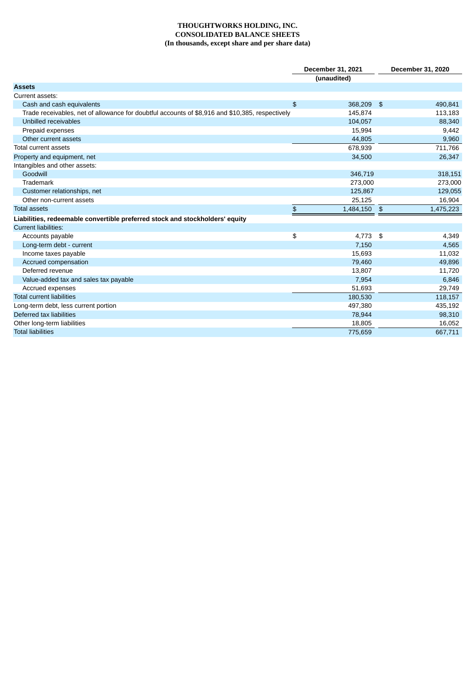#### **THOUGHTWORKS HOLDING, INC. CONSOLIDATED BALANCE SHEETS (In thousands, except share and per share data)**

|                                                                                                 |                | December 31, 2021 |               | December 31, 2020 |
|-------------------------------------------------------------------------------------------------|----------------|-------------------|---------------|-------------------|
|                                                                                                 |                | (unaudited)       |               |                   |
| <b>Assets</b>                                                                                   |                |                   |               |                   |
| Current assets:                                                                                 |                |                   |               |                   |
| Cash and cash equivalents                                                                       | $\mathfrak{S}$ | 368,209 \$        |               | 490,841           |
| Trade receivables, net of allowance for doubtful accounts of \$8,916 and \$10,385, respectively |                | 145,874           |               | 113,183           |
| Unbilled receivables                                                                            |                | 104,057           |               | 88,340            |
| Prepaid expenses                                                                                |                | 15,994            |               | 9,442             |
| Other current assets                                                                            |                | 44,805            |               | 9,960             |
| Total current assets                                                                            |                | 678,939           |               | 711,766           |
| Property and equipment, net                                                                     |                | 34,500            |               | 26,347            |
| Intangibles and other assets:                                                                   |                |                   |               |                   |
| Goodwill                                                                                        |                | 346,719           |               | 318,151           |
| Trademark                                                                                       |                | 273.000           |               | 273,000           |
| Customer relationships, net                                                                     |                | 125,867           |               | 129,055           |
| Other non-current assets                                                                        |                | 25,125            |               | 16,904            |
| <b>Total assets</b>                                                                             | \$             | 1,484,150         | $\frac{3}{2}$ | 1,475,223         |
| Liabilities, redeemable convertible preferred stock and stockholders' equity                    |                |                   |               |                   |
| <b>Current liabilities:</b>                                                                     |                |                   |               |                   |
| Accounts payable                                                                                | \$             | 4,773             | \$            | 4,349             |
| Long-term debt - current                                                                        |                | 7,150             |               | 4,565             |
| Income taxes payable                                                                            |                | 15,693            |               | 11,032            |
| Accrued compensation                                                                            |                | 79,460            |               | 49,896            |
| Deferred revenue                                                                                |                | 13,807            |               | 11,720            |
| Value-added tax and sales tax payable                                                           |                | 7,954             |               | 6,846             |
| Accrued expenses                                                                                |                | 51,693            |               | 29,749            |
| <b>Total current liabilities</b>                                                                |                | 180,530           |               | 118,157           |
| Long-term debt, less current portion                                                            |                | 497,380           |               | 435,192           |
| Deferred tax liabilities                                                                        |                | 78,944            |               | 98,310            |
| Other long-term liabilities                                                                     |                | 18,805            |               | 16,052            |
| <b>Total liabilities</b>                                                                        |                | 775,659           |               | 667,711           |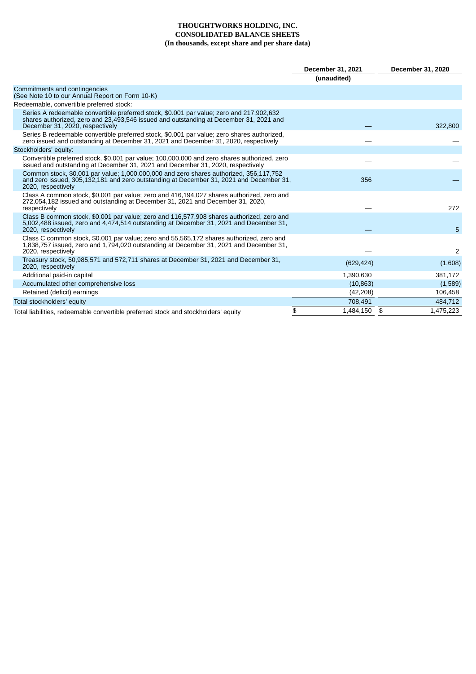#### **THOUGHTWORKS HOLDING, INC. CONSOLIDATED BALANCE SHEETS (In thousands, except share and per share data)**

|                                                                                                                                                                                                                       | December 31, 2021 | December 31, 2020 |
|-----------------------------------------------------------------------------------------------------------------------------------------------------------------------------------------------------------------------|-------------------|-------------------|
|                                                                                                                                                                                                                       | (unaudited)       |                   |
| Commitments and contingencies<br>(See Note 10 to our Annual Report on Form 10-K)                                                                                                                                      |                   |                   |
| Redeemable, convertible preferred stock:                                                                                                                                                                              |                   |                   |
| Series A redeemable convertible preferred stock, \$0.001 par value; zero and 217,902,632<br>shares authorized, zero and 23,493,546 issued and outstanding at December 31, 2021 and<br>December 31, 2020, respectively |                   | 322,800           |
| Series B redeemable convertible preferred stock, \$0.001 par value; zero shares authorized,<br>zero issued and outstanding at December 31, 2021 and December 31, 2020, respectively                                   |                   |                   |
| Stockholders' equity:                                                                                                                                                                                                 |                   |                   |
| Convertible preferred stock, \$0.001 par value; 100,000,000 and zero shares authorized, zero<br>issued and outstanding at December 31, 2021 and December 31, 2020, respectively                                       |                   |                   |
| Common stock, \$0.001 par value; 1,000,000,000 and zero shares authorized, 356,117,752<br>and zero issued, 305,132,181 and zero outstanding at December 31, 2021 and December 31,<br>2020, respectively               | 356               |                   |
| Class A common stock, \$0.001 par value; zero and 416,194,027 shares authorized, zero and<br>272,054,182 issued and outstanding at December 31, 2021 and December 31, 2020,<br>respectively                           |                   | 272               |
| Class B common stock, \$0.001 par value; zero and 116,577,908 shares authorized, zero and<br>5,002,488 issued, zero and 4,474,514 outstanding at December 31, 2021 and December 31,<br>2020, respectively             |                   | 5                 |
| Class C common stock, \$0.001 par value; zero and 55,565,172 shares authorized, zero and<br>1,838,757 issued, zero and 1,794,020 outstanding at December 31, 2021 and December 31,<br>2020, respectively              |                   | $\overline{2}$    |
| Treasury stock, 50,985,571 and 572,711 shares at December 31, 2021 and December 31,<br>2020, respectively                                                                                                             | (629, 424)        | (1,608)           |
| Additional paid-in capital                                                                                                                                                                                            | 1,390,630         | 381,172           |
| Accumulated other comprehensive loss                                                                                                                                                                                  | (10, 863)         | (1,589)           |
| Retained (deficit) earnings                                                                                                                                                                                           | (42, 208)         | 106,458           |
| Total stockholders' equity                                                                                                                                                                                            | 708,491           | 484,712           |
| Total liabilities, redeemable convertible preferred stock and stockholders' equity                                                                                                                                    | \$<br>1,484,150   | \$<br>1,475,223   |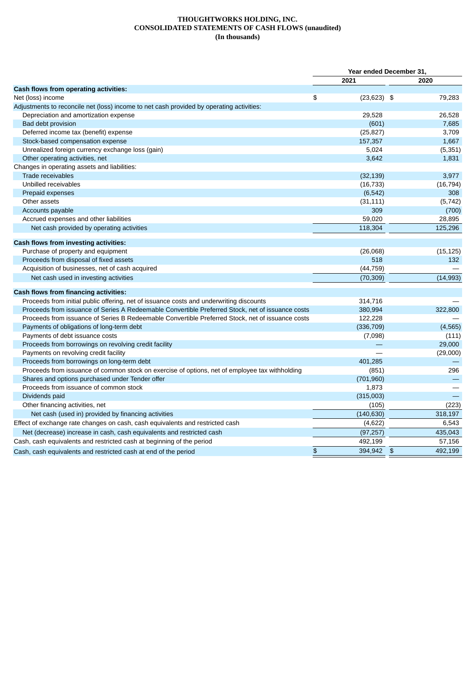#### **THOUGHTWORKS HOLDING, INC. CONSOLIDATED STATEMENTS OF CASH FLOWS (unaudited) (In thousands)**

| 2021<br>2020<br>Cash flows from operating activities:<br>\$<br>$(23, 623)$ \$<br>79,283<br>Net (loss) income<br>Adjustments to reconcile net (loss) income to net cash provided by operating activities:<br>Depreciation and amortization expense<br>29,528<br>26,528<br><b>Bad debt provision</b><br>(601)<br>7,685<br>Deferred income tax (benefit) expense<br>(25, 827)<br>3,709<br>Stock-based compensation expense<br>157,357<br>1,667<br>Unrealized foreign currency exchange loss (gain)<br>5,024<br>(5, 351)<br>3,642<br>1,831<br>Other operating activities, net<br>Changes in operating assets and liabilities:<br>Trade receivables<br>(32, 139)<br>3,977<br>Unbilled receivables<br>(16, 733)<br>(16, 794)<br>Prepaid expenses<br>(6, 542)<br>308<br>Other assets<br>(31, 111)<br>(5, 742)<br>309<br>(700)<br>Accounts payable<br>Accrued expenses and other liabilities<br>59,020<br>28,895<br>118,304<br>125,296<br>Net cash provided by operating activities<br>Cash flows from investing activities:<br>Purchase of property and equipment<br>(26,068)<br>(15, 125)<br>Proceeds from disposal of fixed assets<br>518<br>132<br>(44, 759)<br>Acquisition of businesses, net of cash acquired<br>(70, 309)<br>(14, 993)<br>Net cash used in investing activities<br>Cash flows from financing activities:<br>Proceeds from initial public offering, net of issuance costs and underwriting discounts<br>314,716<br>Proceeds from issuance of Series A Redeemable Convertible Preferred Stock, net of issuance costs<br>380,994<br>322,800<br>122,228<br>Proceeds from issuance of Series B Redeemable Convertible Preferred Stock, net of issuance costs<br>Payments of obligations of long-term debt<br>(336, 709)<br>(4, 565)<br>Payments of debt issuance costs<br>(7,098)<br>(111)<br>29,000<br>Proceeds from borrowings on revolving credit facility<br>(29,000)<br>Payments on revolving credit facility<br>Proceeds from borrowings on long-term debt<br>401,285<br>Proceeds from issuance of common stock on exercise of options, net of employee tax withholding<br>(851)<br>296<br>Shares and options purchased under Tender offer<br>(701, 960)<br>Proceeds from issuance of common stock<br>1,873<br>Dividends paid<br>(315,003)<br>Other financing activities, net<br>(223)<br>(105)<br>318,197<br>(140, 630)<br>Net cash (used in) provided by financing activities<br>Effect of exchange rate changes on cash, cash equivalents and restricted cash<br>6,543<br>(4,622)<br>435,043<br>Net (decrease) increase in cash, cash equivalents and restricted cash<br>(97, 257)<br>Cash, cash equivalents and restricted cash at beginning of the period<br>492,199<br>57,156 |                                                                 | Year ended December 31, |               |
|-----------------------------------------------------------------------------------------------------------------------------------------------------------------------------------------------------------------------------------------------------------------------------------------------------------------------------------------------------------------------------------------------------------------------------------------------------------------------------------------------------------------------------------------------------------------------------------------------------------------------------------------------------------------------------------------------------------------------------------------------------------------------------------------------------------------------------------------------------------------------------------------------------------------------------------------------------------------------------------------------------------------------------------------------------------------------------------------------------------------------------------------------------------------------------------------------------------------------------------------------------------------------------------------------------------------------------------------------------------------------------------------------------------------------------------------------------------------------------------------------------------------------------------------------------------------------------------------------------------------------------------------------------------------------------------------------------------------------------------------------------------------------------------------------------------------------------------------------------------------------------------------------------------------------------------------------------------------------------------------------------------------------------------------------------------------------------------------------------------------------------------------------------------------------------------------------------------------------------------------------------------------------------------------------------------------------------------------------------------------------------------------------------------------------------------------------------------------------------------------------------------------------------------------------------------------------------------------------------------------------------------------------------------------------------------------------------|-----------------------------------------------------------------|-------------------------|---------------|
|                                                                                                                                                                                                                                                                                                                                                                                                                                                                                                                                                                                                                                                                                                                                                                                                                                                                                                                                                                                                                                                                                                                                                                                                                                                                                                                                                                                                                                                                                                                                                                                                                                                                                                                                                                                                                                                                                                                                                                                                                                                                                                                                                                                                                                                                                                                                                                                                                                                                                                                                                                                                                                                                                                     |                                                                 |                         |               |
|                                                                                                                                                                                                                                                                                                                                                                                                                                                                                                                                                                                                                                                                                                                                                                                                                                                                                                                                                                                                                                                                                                                                                                                                                                                                                                                                                                                                                                                                                                                                                                                                                                                                                                                                                                                                                                                                                                                                                                                                                                                                                                                                                                                                                                                                                                                                                                                                                                                                                                                                                                                                                                                                                                     |                                                                 |                         |               |
|                                                                                                                                                                                                                                                                                                                                                                                                                                                                                                                                                                                                                                                                                                                                                                                                                                                                                                                                                                                                                                                                                                                                                                                                                                                                                                                                                                                                                                                                                                                                                                                                                                                                                                                                                                                                                                                                                                                                                                                                                                                                                                                                                                                                                                                                                                                                                                                                                                                                                                                                                                                                                                                                                                     |                                                                 |                         |               |
|                                                                                                                                                                                                                                                                                                                                                                                                                                                                                                                                                                                                                                                                                                                                                                                                                                                                                                                                                                                                                                                                                                                                                                                                                                                                                                                                                                                                                                                                                                                                                                                                                                                                                                                                                                                                                                                                                                                                                                                                                                                                                                                                                                                                                                                                                                                                                                                                                                                                                                                                                                                                                                                                                                     |                                                                 |                         |               |
|                                                                                                                                                                                                                                                                                                                                                                                                                                                                                                                                                                                                                                                                                                                                                                                                                                                                                                                                                                                                                                                                                                                                                                                                                                                                                                                                                                                                                                                                                                                                                                                                                                                                                                                                                                                                                                                                                                                                                                                                                                                                                                                                                                                                                                                                                                                                                                                                                                                                                                                                                                                                                                                                                                     |                                                                 |                         |               |
|                                                                                                                                                                                                                                                                                                                                                                                                                                                                                                                                                                                                                                                                                                                                                                                                                                                                                                                                                                                                                                                                                                                                                                                                                                                                                                                                                                                                                                                                                                                                                                                                                                                                                                                                                                                                                                                                                                                                                                                                                                                                                                                                                                                                                                                                                                                                                                                                                                                                                                                                                                                                                                                                                                     |                                                                 |                         |               |
|                                                                                                                                                                                                                                                                                                                                                                                                                                                                                                                                                                                                                                                                                                                                                                                                                                                                                                                                                                                                                                                                                                                                                                                                                                                                                                                                                                                                                                                                                                                                                                                                                                                                                                                                                                                                                                                                                                                                                                                                                                                                                                                                                                                                                                                                                                                                                                                                                                                                                                                                                                                                                                                                                                     |                                                                 |                         |               |
|                                                                                                                                                                                                                                                                                                                                                                                                                                                                                                                                                                                                                                                                                                                                                                                                                                                                                                                                                                                                                                                                                                                                                                                                                                                                                                                                                                                                                                                                                                                                                                                                                                                                                                                                                                                                                                                                                                                                                                                                                                                                                                                                                                                                                                                                                                                                                                                                                                                                                                                                                                                                                                                                                                     |                                                                 |                         |               |
|                                                                                                                                                                                                                                                                                                                                                                                                                                                                                                                                                                                                                                                                                                                                                                                                                                                                                                                                                                                                                                                                                                                                                                                                                                                                                                                                                                                                                                                                                                                                                                                                                                                                                                                                                                                                                                                                                                                                                                                                                                                                                                                                                                                                                                                                                                                                                                                                                                                                                                                                                                                                                                                                                                     |                                                                 |                         |               |
|                                                                                                                                                                                                                                                                                                                                                                                                                                                                                                                                                                                                                                                                                                                                                                                                                                                                                                                                                                                                                                                                                                                                                                                                                                                                                                                                                                                                                                                                                                                                                                                                                                                                                                                                                                                                                                                                                                                                                                                                                                                                                                                                                                                                                                                                                                                                                                                                                                                                                                                                                                                                                                                                                                     |                                                                 |                         |               |
|                                                                                                                                                                                                                                                                                                                                                                                                                                                                                                                                                                                                                                                                                                                                                                                                                                                                                                                                                                                                                                                                                                                                                                                                                                                                                                                                                                                                                                                                                                                                                                                                                                                                                                                                                                                                                                                                                                                                                                                                                                                                                                                                                                                                                                                                                                                                                                                                                                                                                                                                                                                                                                                                                                     |                                                                 |                         |               |
|                                                                                                                                                                                                                                                                                                                                                                                                                                                                                                                                                                                                                                                                                                                                                                                                                                                                                                                                                                                                                                                                                                                                                                                                                                                                                                                                                                                                                                                                                                                                                                                                                                                                                                                                                                                                                                                                                                                                                                                                                                                                                                                                                                                                                                                                                                                                                                                                                                                                                                                                                                                                                                                                                                     |                                                                 |                         |               |
|                                                                                                                                                                                                                                                                                                                                                                                                                                                                                                                                                                                                                                                                                                                                                                                                                                                                                                                                                                                                                                                                                                                                                                                                                                                                                                                                                                                                                                                                                                                                                                                                                                                                                                                                                                                                                                                                                                                                                                                                                                                                                                                                                                                                                                                                                                                                                                                                                                                                                                                                                                                                                                                                                                     |                                                                 |                         |               |
|                                                                                                                                                                                                                                                                                                                                                                                                                                                                                                                                                                                                                                                                                                                                                                                                                                                                                                                                                                                                                                                                                                                                                                                                                                                                                                                                                                                                                                                                                                                                                                                                                                                                                                                                                                                                                                                                                                                                                                                                                                                                                                                                                                                                                                                                                                                                                                                                                                                                                                                                                                                                                                                                                                     |                                                                 |                         |               |
|                                                                                                                                                                                                                                                                                                                                                                                                                                                                                                                                                                                                                                                                                                                                                                                                                                                                                                                                                                                                                                                                                                                                                                                                                                                                                                                                                                                                                                                                                                                                                                                                                                                                                                                                                                                                                                                                                                                                                                                                                                                                                                                                                                                                                                                                                                                                                                                                                                                                                                                                                                                                                                                                                                     |                                                                 |                         |               |
|                                                                                                                                                                                                                                                                                                                                                                                                                                                                                                                                                                                                                                                                                                                                                                                                                                                                                                                                                                                                                                                                                                                                                                                                                                                                                                                                                                                                                                                                                                                                                                                                                                                                                                                                                                                                                                                                                                                                                                                                                                                                                                                                                                                                                                                                                                                                                                                                                                                                                                                                                                                                                                                                                                     |                                                                 |                         |               |
|                                                                                                                                                                                                                                                                                                                                                                                                                                                                                                                                                                                                                                                                                                                                                                                                                                                                                                                                                                                                                                                                                                                                                                                                                                                                                                                                                                                                                                                                                                                                                                                                                                                                                                                                                                                                                                                                                                                                                                                                                                                                                                                                                                                                                                                                                                                                                                                                                                                                                                                                                                                                                                                                                                     |                                                                 |                         |               |
|                                                                                                                                                                                                                                                                                                                                                                                                                                                                                                                                                                                                                                                                                                                                                                                                                                                                                                                                                                                                                                                                                                                                                                                                                                                                                                                                                                                                                                                                                                                                                                                                                                                                                                                                                                                                                                                                                                                                                                                                                                                                                                                                                                                                                                                                                                                                                                                                                                                                                                                                                                                                                                                                                                     |                                                                 |                         |               |
|                                                                                                                                                                                                                                                                                                                                                                                                                                                                                                                                                                                                                                                                                                                                                                                                                                                                                                                                                                                                                                                                                                                                                                                                                                                                                                                                                                                                                                                                                                                                                                                                                                                                                                                                                                                                                                                                                                                                                                                                                                                                                                                                                                                                                                                                                                                                                                                                                                                                                                                                                                                                                                                                                                     |                                                                 |                         |               |
|                                                                                                                                                                                                                                                                                                                                                                                                                                                                                                                                                                                                                                                                                                                                                                                                                                                                                                                                                                                                                                                                                                                                                                                                                                                                                                                                                                                                                                                                                                                                                                                                                                                                                                                                                                                                                                                                                                                                                                                                                                                                                                                                                                                                                                                                                                                                                                                                                                                                                                                                                                                                                                                                                                     |                                                                 |                         |               |
|                                                                                                                                                                                                                                                                                                                                                                                                                                                                                                                                                                                                                                                                                                                                                                                                                                                                                                                                                                                                                                                                                                                                                                                                                                                                                                                                                                                                                                                                                                                                                                                                                                                                                                                                                                                                                                                                                                                                                                                                                                                                                                                                                                                                                                                                                                                                                                                                                                                                                                                                                                                                                                                                                                     |                                                                 |                         |               |
|                                                                                                                                                                                                                                                                                                                                                                                                                                                                                                                                                                                                                                                                                                                                                                                                                                                                                                                                                                                                                                                                                                                                                                                                                                                                                                                                                                                                                                                                                                                                                                                                                                                                                                                                                                                                                                                                                                                                                                                                                                                                                                                                                                                                                                                                                                                                                                                                                                                                                                                                                                                                                                                                                                     |                                                                 |                         |               |
|                                                                                                                                                                                                                                                                                                                                                                                                                                                                                                                                                                                                                                                                                                                                                                                                                                                                                                                                                                                                                                                                                                                                                                                                                                                                                                                                                                                                                                                                                                                                                                                                                                                                                                                                                                                                                                                                                                                                                                                                                                                                                                                                                                                                                                                                                                                                                                                                                                                                                                                                                                                                                                                                                                     |                                                                 |                         |               |
|                                                                                                                                                                                                                                                                                                                                                                                                                                                                                                                                                                                                                                                                                                                                                                                                                                                                                                                                                                                                                                                                                                                                                                                                                                                                                                                                                                                                                                                                                                                                                                                                                                                                                                                                                                                                                                                                                                                                                                                                                                                                                                                                                                                                                                                                                                                                                                                                                                                                                                                                                                                                                                                                                                     |                                                                 |                         |               |
|                                                                                                                                                                                                                                                                                                                                                                                                                                                                                                                                                                                                                                                                                                                                                                                                                                                                                                                                                                                                                                                                                                                                                                                                                                                                                                                                                                                                                                                                                                                                                                                                                                                                                                                                                                                                                                                                                                                                                                                                                                                                                                                                                                                                                                                                                                                                                                                                                                                                                                                                                                                                                                                                                                     |                                                                 |                         |               |
|                                                                                                                                                                                                                                                                                                                                                                                                                                                                                                                                                                                                                                                                                                                                                                                                                                                                                                                                                                                                                                                                                                                                                                                                                                                                                                                                                                                                                                                                                                                                                                                                                                                                                                                                                                                                                                                                                                                                                                                                                                                                                                                                                                                                                                                                                                                                                                                                                                                                                                                                                                                                                                                                                                     |                                                                 |                         |               |
|                                                                                                                                                                                                                                                                                                                                                                                                                                                                                                                                                                                                                                                                                                                                                                                                                                                                                                                                                                                                                                                                                                                                                                                                                                                                                                                                                                                                                                                                                                                                                                                                                                                                                                                                                                                                                                                                                                                                                                                                                                                                                                                                                                                                                                                                                                                                                                                                                                                                                                                                                                                                                                                                                                     |                                                                 |                         |               |
|                                                                                                                                                                                                                                                                                                                                                                                                                                                                                                                                                                                                                                                                                                                                                                                                                                                                                                                                                                                                                                                                                                                                                                                                                                                                                                                                                                                                                                                                                                                                                                                                                                                                                                                                                                                                                                                                                                                                                                                                                                                                                                                                                                                                                                                                                                                                                                                                                                                                                                                                                                                                                                                                                                     |                                                                 |                         |               |
|                                                                                                                                                                                                                                                                                                                                                                                                                                                                                                                                                                                                                                                                                                                                                                                                                                                                                                                                                                                                                                                                                                                                                                                                                                                                                                                                                                                                                                                                                                                                                                                                                                                                                                                                                                                                                                                                                                                                                                                                                                                                                                                                                                                                                                                                                                                                                                                                                                                                                                                                                                                                                                                                                                     |                                                                 |                         |               |
|                                                                                                                                                                                                                                                                                                                                                                                                                                                                                                                                                                                                                                                                                                                                                                                                                                                                                                                                                                                                                                                                                                                                                                                                                                                                                                                                                                                                                                                                                                                                                                                                                                                                                                                                                                                                                                                                                                                                                                                                                                                                                                                                                                                                                                                                                                                                                                                                                                                                                                                                                                                                                                                                                                     |                                                                 |                         |               |
|                                                                                                                                                                                                                                                                                                                                                                                                                                                                                                                                                                                                                                                                                                                                                                                                                                                                                                                                                                                                                                                                                                                                                                                                                                                                                                                                                                                                                                                                                                                                                                                                                                                                                                                                                                                                                                                                                                                                                                                                                                                                                                                                                                                                                                                                                                                                                                                                                                                                                                                                                                                                                                                                                                     |                                                                 |                         |               |
|                                                                                                                                                                                                                                                                                                                                                                                                                                                                                                                                                                                                                                                                                                                                                                                                                                                                                                                                                                                                                                                                                                                                                                                                                                                                                                                                                                                                                                                                                                                                                                                                                                                                                                                                                                                                                                                                                                                                                                                                                                                                                                                                                                                                                                                                                                                                                                                                                                                                                                                                                                                                                                                                                                     |                                                                 |                         |               |
|                                                                                                                                                                                                                                                                                                                                                                                                                                                                                                                                                                                                                                                                                                                                                                                                                                                                                                                                                                                                                                                                                                                                                                                                                                                                                                                                                                                                                                                                                                                                                                                                                                                                                                                                                                                                                                                                                                                                                                                                                                                                                                                                                                                                                                                                                                                                                                                                                                                                                                                                                                                                                                                                                                     |                                                                 |                         |               |
|                                                                                                                                                                                                                                                                                                                                                                                                                                                                                                                                                                                                                                                                                                                                                                                                                                                                                                                                                                                                                                                                                                                                                                                                                                                                                                                                                                                                                                                                                                                                                                                                                                                                                                                                                                                                                                                                                                                                                                                                                                                                                                                                                                                                                                                                                                                                                                                                                                                                                                                                                                                                                                                                                                     |                                                                 |                         |               |
|                                                                                                                                                                                                                                                                                                                                                                                                                                                                                                                                                                                                                                                                                                                                                                                                                                                                                                                                                                                                                                                                                                                                                                                                                                                                                                                                                                                                                                                                                                                                                                                                                                                                                                                                                                                                                                                                                                                                                                                                                                                                                                                                                                                                                                                                                                                                                                                                                                                                                                                                                                                                                                                                                                     |                                                                 |                         |               |
|                                                                                                                                                                                                                                                                                                                                                                                                                                                                                                                                                                                                                                                                                                                                                                                                                                                                                                                                                                                                                                                                                                                                                                                                                                                                                                                                                                                                                                                                                                                                                                                                                                                                                                                                                                                                                                                                                                                                                                                                                                                                                                                                                                                                                                                                                                                                                                                                                                                                                                                                                                                                                                                                                                     |                                                                 |                         |               |
|                                                                                                                                                                                                                                                                                                                                                                                                                                                                                                                                                                                                                                                                                                                                                                                                                                                                                                                                                                                                                                                                                                                                                                                                                                                                                                                                                                                                                                                                                                                                                                                                                                                                                                                                                                                                                                                                                                                                                                                                                                                                                                                                                                                                                                                                                                                                                                                                                                                                                                                                                                                                                                                                                                     |                                                                 |                         |               |
|                                                                                                                                                                                                                                                                                                                                                                                                                                                                                                                                                                                                                                                                                                                                                                                                                                                                                                                                                                                                                                                                                                                                                                                                                                                                                                                                                                                                                                                                                                                                                                                                                                                                                                                                                                                                                                                                                                                                                                                                                                                                                                                                                                                                                                                                                                                                                                                                                                                                                                                                                                                                                                                                                                     |                                                                 |                         |               |
|                                                                                                                                                                                                                                                                                                                                                                                                                                                                                                                                                                                                                                                                                                                                                                                                                                                                                                                                                                                                                                                                                                                                                                                                                                                                                                                                                                                                                                                                                                                                                                                                                                                                                                                                                                                                                                                                                                                                                                                                                                                                                                                                                                                                                                                                                                                                                                                                                                                                                                                                                                                                                                                                                                     |                                                                 |                         |               |
|                                                                                                                                                                                                                                                                                                                                                                                                                                                                                                                                                                                                                                                                                                                                                                                                                                                                                                                                                                                                                                                                                                                                                                                                                                                                                                                                                                                                                                                                                                                                                                                                                                                                                                                                                                                                                                                                                                                                                                                                                                                                                                                                                                                                                                                                                                                                                                                                                                                                                                                                                                                                                                                                                                     |                                                                 |                         |               |
|                                                                                                                                                                                                                                                                                                                                                                                                                                                                                                                                                                                                                                                                                                                                                                                                                                                                                                                                                                                                                                                                                                                                                                                                                                                                                                                                                                                                                                                                                                                                                                                                                                                                                                                                                                                                                                                                                                                                                                                                                                                                                                                                                                                                                                                                                                                                                                                                                                                                                                                                                                                                                                                                                                     |                                                                 |                         |               |
|                                                                                                                                                                                                                                                                                                                                                                                                                                                                                                                                                                                                                                                                                                                                                                                                                                                                                                                                                                                                                                                                                                                                                                                                                                                                                                                                                                                                                                                                                                                                                                                                                                                                                                                                                                                                                                                                                                                                                                                                                                                                                                                                                                                                                                                                                                                                                                                                                                                                                                                                                                                                                                                                                                     | Cash, cash equivalents and restricted cash at end of the period | \$<br>394,942           | \$<br>492,199 |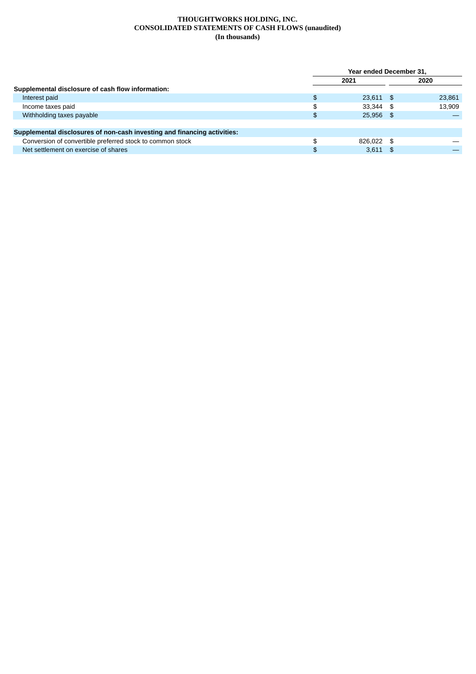#### **THOUGHTWORKS HOLDING, INC. CONSOLIDATED STATEMENTS OF CASH FLOWS (unaudited) (In thousands)**

|                                                                          | <b>Year ended December 31.</b> |            |  |        |  |  |
|--------------------------------------------------------------------------|--------------------------------|------------|--|--------|--|--|
|                                                                          |                                | 2021       |  | 2020   |  |  |
| Supplemental disclosure of cash flow information:                        |                                |            |  |        |  |  |
| Interest paid                                                            | \$                             | 23,611 \$  |  | 23,861 |  |  |
| Income taxes paid                                                        | \$                             | 33.344 \$  |  | 13.909 |  |  |
| Withholding taxes payable                                                | \$                             | 25,956 \$  |  |        |  |  |
|                                                                          |                                |            |  |        |  |  |
| Supplemental disclosures of non-cash investing and financing activities: |                                |            |  |        |  |  |
| Conversion of convertible preferred stock to common stock                | \$                             | 826.022 \$ |  |        |  |  |
| Net settlement on exercise of shares                                     | \$                             | $3,611$ \$ |  |        |  |  |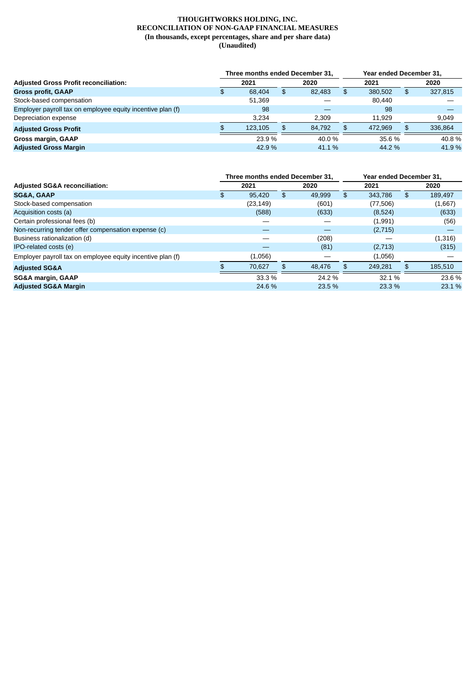|                                                            |  |         |              | Three months ended December 31, | Year ended December 31. |         |     |         |
|------------------------------------------------------------|--|---------|--------------|---------------------------------|-------------------------|---------|-----|---------|
| <b>Adjusted Gross Profit reconciliation:</b>               |  | 2021    |              | 2020                            |                         | 2021    |     | 2020    |
| <b>Gross profit, GAAP</b>                                  |  | 68.404  |              | 82.483                          |                         | 380.502 | \$. | 327,815 |
| Stock-based compensation                                   |  | 51.369  |              |                                 |                         | 80.440  |     |         |
| Employer payroll tax on employee equity incentive plan (f) |  | 98      |              |                                 |                         | 98      |     |         |
| Depreciation expense                                       |  | 3.234   |              | 2.309                           |                         | 11.929  |     | 9,049   |
| <b>Adjusted Gross Profit</b>                               |  | 123.105 | $\mathbf{E}$ | 84.792                          | £.                      | 472.969 |     | 336.864 |
| <b>Gross margin, GAAP</b>                                  |  | 23.9%   |              | 40.0 %                          |                         | 35.6%   |     | 40.8%   |
| <b>Adjusted Gross Margin</b>                               |  | 42.9 %  |              | 41.1%                           |                         | 44.2 %  |     | 41.9%   |

|                                                            | Three months ended December 31, |           |    |        |    | Year ended December 31. |    |         |
|------------------------------------------------------------|---------------------------------|-----------|----|--------|----|-------------------------|----|---------|
| <b>Adjusted SG&amp;A reconciliation:</b>                   |                                 | 2021      |    | 2020   |    | 2021                    |    | 2020    |
| SG&A, GAAP                                                 | \$                              | 95,420    | \$ | 49,999 | \$ | 343,786                 | \$ | 189,497 |
| Stock-based compensation                                   |                                 | (23, 149) |    | (601)  |    | (77,506)                |    | (1,667) |
| Acquisition costs (a)                                      |                                 | (588)     |    | (633)  |    | (8,524)                 |    | (633)   |
| Certain professional fees (b)                              |                                 |           |    |        |    | (1,991)                 |    | (56)    |
| Non-recurring tender offer compensation expense (c)        |                                 |           |    |        |    | (2,715)                 |    | --      |
| Business rationalization (d)                               |                                 |           |    | (208)  |    |                         |    | (1,316) |
| IPO-related costs (e)                                      |                                 |           |    | (81)   |    | (2,713)                 |    | (315)   |
| Employer payroll tax on employee equity incentive plan (f) |                                 | (1,056)   |    |        |    | (1,056)                 |    |         |
| <b>Adjusted SG&amp;A</b>                                   |                                 | 70.627    | \$ | 48.476 |    | 249.281                 |    | 185,510 |
| <b>SG&amp;A margin, GAAP</b>                               |                                 | 33.3 %    |    | 24.2 % |    | 32.1 %                  |    | 23.6 %  |
| <b>Adjusted SG&amp;A Margin</b>                            |                                 | 24.6 %    |    | 23.5 % |    | 23.3 %                  |    | 23.1 %  |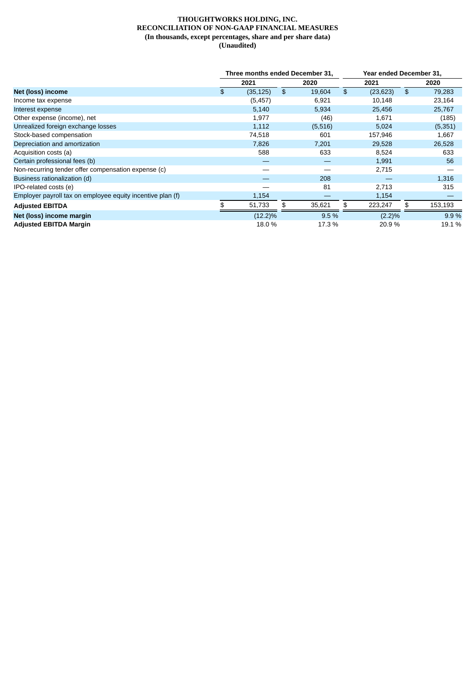|                                                            | Three months ended December 31. |    |         |    | <b>Year ended December 31.</b> |    |          |
|------------------------------------------------------------|---------------------------------|----|---------|----|--------------------------------|----|----------|
|                                                            | 2021                            |    | 2020    |    | 2021                           |    | 2020     |
| Net (loss) income                                          | \$<br>(35, 125)                 | \$ | 19,604  | \$ | (23, 623)                      | \$ | 79,283   |
| Income tax expense                                         | (5, 457)                        |    | 6,921   |    | 10,148                         |    | 23,164   |
| Interest expense                                           | 5,140                           |    | 5,934   |    | 25,456                         |    | 25,767   |
| Other expense (income), net                                | 1,977                           |    | (46)    |    | 1,671                          |    | (185)    |
| Unrealized foreign exchange losses                         | 1,112                           |    | (5,516) |    | 5,024                          |    | (5, 351) |
| Stock-based compensation                                   | 74,518                          |    | 601     |    | 157,946                        |    | 1,667    |
| Depreciation and amortization                              | 7,826                           |    | 7,201   |    | 29,528                         |    | 26,528   |
| Acquisition costs (a)                                      | 588                             |    | 633     |    | 8,524                          |    | 633      |
| Certain professional fees (b)                              |                                 |    |         |    | 1,991                          |    | 56       |
| Non-recurring tender offer compensation expense (c)        |                                 |    |         |    | 2,715                          |    |          |
| Business rationalization (d)                               |                                 |    | 208     |    |                                |    | 1,316    |
| IPO-related costs (e)                                      |                                 |    | 81      |    | 2,713                          |    | 315      |
| Employer payroll tax on employee equity incentive plan (f) | 1,154                           |    |         |    | 1,154                          |    |          |
| <b>Adjusted EBITDA</b>                                     | 51,733                          | \$ | 35,621  | \$ | 223,247                        | \$ | 153,193  |
| Net (loss) income margin                                   | $(12.2)\%$                      |    | 9.5%    |    | $(2.2)\%$                      |    | 9.9%     |
| <b>Adjusted EBITDA Margin</b>                              | 18.0%                           |    | 17.3 %  |    | 20.9 %                         |    | 19.1 %   |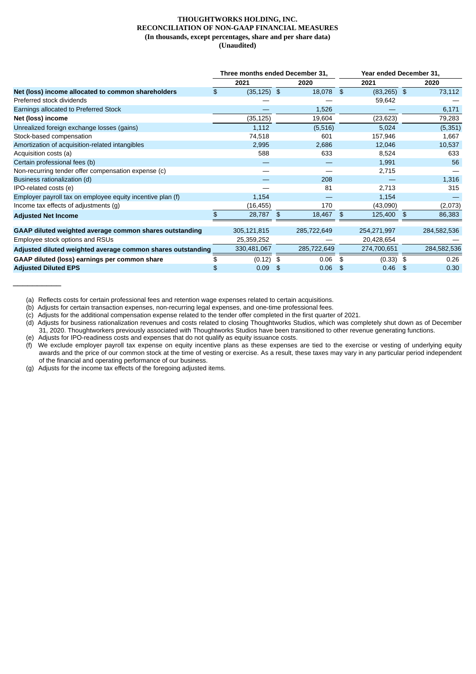|                                                             | Three months ended December 31, |                |    |             |      | Year ended December 31, |    |             |  |
|-------------------------------------------------------------|---------------------------------|----------------|----|-------------|------|-------------------------|----|-------------|--|
|                                                             |                                 | 2021           |    | 2020        |      | 2021                    |    | 2020        |  |
| Net (loss) income allocated to common shareholders          | \$                              | $(35, 125)$ \$ |    | 18,078 \$   |      | $(83,265)$ \$           |    | 73,112      |  |
| Preferred stock dividends                                   |                                 |                |    |             |      | 59,642                  |    |             |  |
| Earnings allocated to Preferred Stock                       |                                 |                |    | 1,526       |      |                         |    | 6,171       |  |
| Net (loss) income                                           |                                 | (35, 125)      |    | 19,604      |      | (23, 623)               |    | 79,283      |  |
| Unrealized foreign exchange losses (gains)                  |                                 | 1,112          |    | (5,516)     |      | 5,024                   |    | (5, 351)    |  |
| Stock-based compensation                                    |                                 | 74,518         |    | 601         |      | 157,946                 |    | 1,667       |  |
| Amortization of acquisition-related intangibles             |                                 | 2,995          |    | 2,686       |      | 12,046                  |    | 10,537      |  |
| Acquisition costs (a)                                       |                                 | 588            |    | 633         |      | 8,524                   |    | 633         |  |
| Certain professional fees (b)                               |                                 |                |    |             |      | 1,991                   |    | 56          |  |
| Non-recurring tender offer compensation expense (c)         |                                 |                |    |             |      | 2,715                   |    |             |  |
| Business rationalization (d)                                |                                 |                |    | 208         |      |                         |    | 1,316       |  |
| IPO-related costs (e)                                       |                                 |                |    | 81          |      | 2,713                   |    | 315         |  |
| Employer payroll tax on employee equity incentive plan (f)  |                                 | 1,154          |    |             |      | 1,154                   |    |             |  |
| Income tax effects of adjustments (g)                       |                                 | (16, 455)      |    | 170         |      | (43,090)                |    | (2,073)     |  |
| <b>Adjusted Net Income</b>                                  |                                 | 28,787         | \$ | 18,467      | - SS | 125,400                 | \$ | 86,383      |  |
| GAAP diluted weighted average common shares outstanding     |                                 | 305,121,815    |    | 285,722,649 |      | 254,271,997             |    | 284,582,536 |  |
| Employee stock options and RSUs                             |                                 | 25,359,252     |    |             |      | 20,428,654              |    |             |  |
| Adjusted diluted weighted average common shares outstanding |                                 | 330,481,067    |    | 285,722,649 |      | 274,700,651             |    | 284,582,536 |  |
| GAAP diluted (loss) earnings per common share               |                                 | (0.12)         | \$ | 0.06        | \$   | (0.33)                  | \$ | 0.26        |  |
| <b>Adjusted Diluted EPS</b>                                 | \$                              | 0.09           | \$ | 0.06        | \$   | 0.46                    | \$ | 0.30        |  |

(a) Reflects costs for certain professional fees and retention wage expenses related to certain acquisitions.

(b) Adjusts for certain transaction expenses, non-recurring legal expenses, and one-time professional fees.

(c) Adjusts for the additional compensation expense related to the tender offer completed in the first quarter of 2021.

(d) Adjusts for business rationalization revenues and costs related to closing Thoughtworks Studios, which was completely shut down as of December 31, 2020. Thoughtworkers previously associated with Thoughtworks Studios have been transitioned to other revenue generating functions.

(e) Adjusts for IPO-readiness costs and expenses that do not qualify as equity issuance costs.

(f) We exclude employer payroll tax expense on equity incentive plans as these expenses are tied to the exercise or vesting of underlying equity awards and the price of our common stock at the time of vesting or exercise. As a result, these taxes may vary in any particular period independent of the financial and operating performance of our business.

(g) Adjusts for the income tax effects of the foregoing adjusted items.

 $\frac{1}{2}$